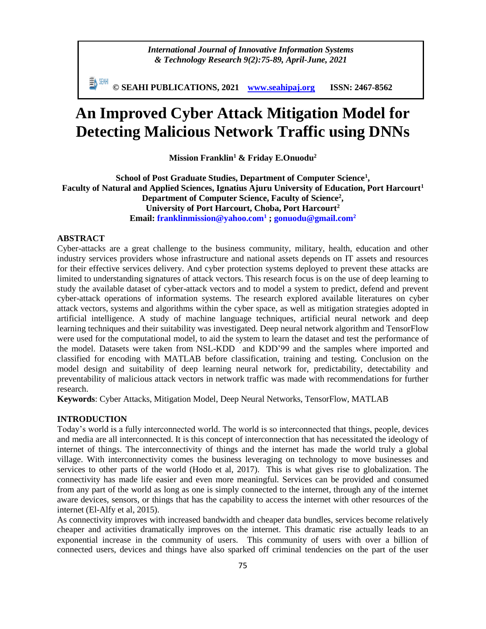*International Journal of Innovative Information Systems & Technology Research 9(2):75-89, April-June, 2021*

**© SEAHI PUBLICATIONS, 2021 [www.seahipaj.org](http://www.seahipaj.org/) ISSN: 2467-8562**

# **An Improved Cyber Attack Mitigation Model for Detecting Malicious Network Traffic using DNNs**

**Mission Franklin<sup>1</sup> & Friday E.Onuodu<sup>2</sup>**

**School of Post Graduate Studies, Department of Computer Science<sup>1</sup> , Faculty of Natural and Applied Sciences, Ignatius Ajuru University of Education, Port Harcourt<sup>1</sup> Department of Computer Science, Faculty of Science<sup>2</sup> , University of Port Harcourt, Choba, Port Harcourt<sup>2</sup> Email: franklinmission@yahoo.com<sup>1</sup> ; gonuodu@gmail.com<sup>2</sup>**

## **ABSTRACT**

Cyber-attacks are a great challenge to the business community, military, health, education and other industry services providers whose infrastructure and national assets depends on IT assets and resources for their effective services delivery. And cyber protection systems deployed to prevent these attacks are limited to understanding signatures of attack vectors. This research focus is on the use of deep learning to study the available dataset of cyber-attack vectors and to model a system to predict, defend and prevent cyber-attack operations of information systems. The research explored available literatures on cyber attack vectors, systems and algorithms within the cyber space, as well as mitigation strategies adopted in artificial intelligence. A study of machine language techniques, artificial neural network and deep learning techniques and their suitability was investigated. Deep neural network algorithm and TensorFlow were used for the computational model, to aid the system to learn the dataset and test the performance of the model. Datasets were taken from NSL-KDD and KDD'99 and the samples where imported and classified for encoding with MATLAB before classification, training and testing. Conclusion on the model design and suitability of deep learning neural network for, predictability, detectability and preventability of malicious attack vectors in network traffic was made with recommendations for further research.

**Keywords**: Cyber Attacks, Mitigation Model, Deep Neural Networks, TensorFlow, MATLAB

## **INTRODUCTION**

Today's world is a fully interconnected world. The world is so interconnected that things, people, devices and media are all interconnected. It is this concept of interconnection that has necessitated the ideology of internet of things. The interconnectivity of things and the internet has made the world truly a global village. With interconnectivity comes the business leveraging on technology to move businesses and services to other parts of the world (Hodo et al, 2017). This is what gives rise to globalization. The connectivity has made life easier and even more meaningful. Services can be provided and consumed from any part of the world as long as one is simply connected to the internet, through any of the internet aware devices, sensors, or things that has the capability to access the internet with other resources of the internet (El-Alfy et al, 2015).

As connectivity improves with increased bandwidth and cheaper data bundles, services become relatively cheaper and activities dramatically improves on the internet. This dramatic rise actually leads to an exponential increase in the community of users. This community of users with over a billion of connected users, devices and things have also sparked off criminal tendencies on the part of the user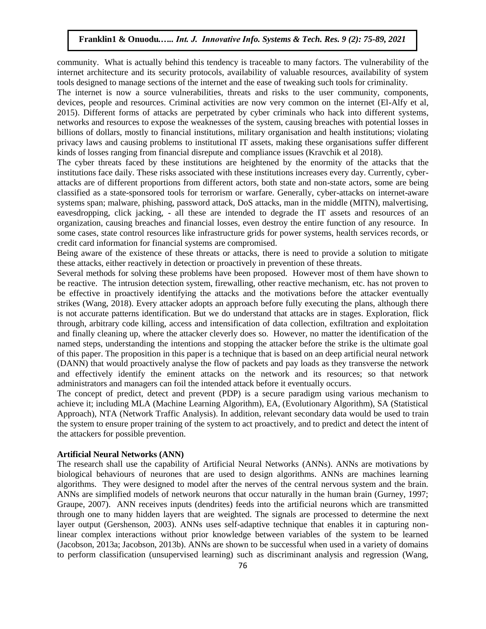community. What is actually behind this tendency is traceable to many factors. The vulnerability of the internet architecture and its security protocols, availability of valuable resources, availability of system tools designed to manage sections of the internet and the ease of tweaking such tools for criminality.

The internet is now a source vulnerabilities, threats and risks to the user community, components, devices, people and resources. Criminal activities are now very common on the internet (El-Alfy et al, 2015). Different forms of attacks are perpetrated by cyber criminals who hack into different systems, networks and resources to expose the weaknesses of the system, causing breaches with potential losses in billions of dollars, mostly to financial institutions, military organisation and health institutions; violating privacy laws and causing problems to institutional IT assets, making these organisations suffer different kinds of losses ranging from financial disrepute and compliance issues (Kravchik et al 2018).

The cyber threats faced by these institutions are heightened by the enormity of the attacks that the institutions face daily. These risks associated with these institutions increases every day. Currently, cyberattacks are of different proportions from different actors, both state and non-state actors, some are being classified as a state-sponsored tools for terrorism or warfare. Generally, cyber-attacks on internet-aware systems span; malware, phishing, password attack, DoS attacks, man in the middle (MITN), malvertising, eavesdropping, click jacking, - all these are intended to degrade the IT assets and resources of an organization, causing breaches and financial losses, even destroy the entire function of any resource. In some cases, state control resources like infrastructure grids for power systems, health services records, or credit card information for financial systems are compromised.

Being aware of the existence of these threats or attacks, there is need to provide a solution to mitigate these attacks, either reactively in detection or proactively in prevention of these threats.

Several methods for solving these problems have been proposed. However most of them have shown to be reactive. The intrusion detection system, firewalling, other reactive mechanism, etc. has not proven to be effective in proactively identifying the attacks and the motivations before the attacker eventually strikes (Wang, 2018). Every attacker adopts an approach before fully executing the plans, although there is not accurate patterns identification. But we do understand that attacks are in stages. Exploration, flick through, arbitrary code killing, access and intensification of data collection, exfiltration and exploitation and finally cleaning up, where the attacker cleverly does so. However, no matter the identification of the named steps, understanding the intentions and stopping the attacker before the strike is the ultimate goal of this paper. The proposition in this paper is a technique that is based on an deep artificial neural network (DANN) that would proactively analyse the flow of packets and pay loads as they transverse the network and effectively identify the eminent attacks on the network and its resources; so that network administrators and managers can foil the intended attack before it eventually occurs.

The concept of predict, detect and prevent (PDP) is a secure paradigm using various mechanism to achieve it; including MLA (Machine Learning Algorithm), EA, (Evolutionary Algorithm), SA (Statistical Approach), NTA (Network Traffic Analysis). In addition, relevant secondary data would be used to train the system to ensure proper training of the system to act proactively, and to predict and detect the intent of the attackers for possible prevention.

#### **Artificial Neural Networks (ANN)**

The research shall use the capability of Artificial Neural Networks (ANNs). ANNs are motivations by biological behaviours of neurones that are used to design algorithms. ANNs are machines learning algorithms. They were designed to model after the nerves of the central nervous system and the brain. ANNs are simplified models of network neurons that occur naturally in the human brain (Gurney, 1997; Graupe, 2007). ANN receives inputs (dendrites) feeds into the artificial neurons which are transmitted through one to many hidden layers that are weighted. The signals are processed to determine the next layer output (Gershenson, 2003). ANNs uses self-adaptive technique that enables it in capturing nonlinear complex interactions without prior knowledge between variables of the system to be learned (Jacobson, 2013a; Jacobson, 2013b). ANNs are shown to be successful when used in a variety of domains to perform classification (unsupervised learning) such as discriminant analysis and regression (Wang,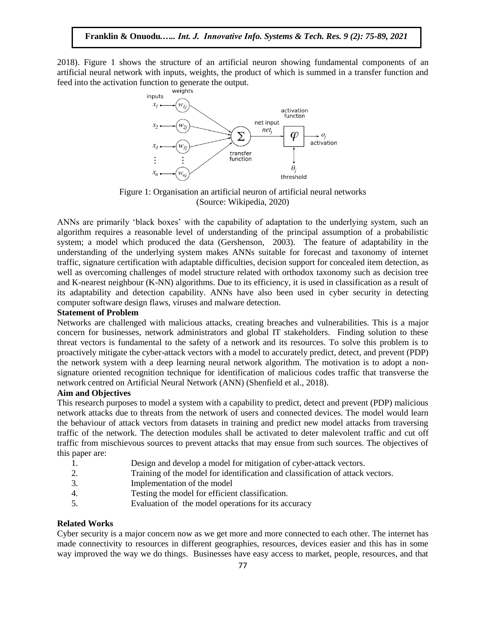2018). Figure 1 shows the structure of an artificial neuron showing fundamental components of an artificial neural network with inputs, weights, the product of which is summed in a transfer function and feed into the activation function to generate the output.



Figure 1: Organisation an artificial neuron of artificial neural networks (Source: Wikipedia, 2020)

ANNs are primarily 'black boxes' with the capability of adaptation to the underlying system, such an algorithm requires a reasonable level of understanding of the principal assumption of a probabilistic system; a model which produced the data (Gershenson, 2003). The feature of adaptability in the understanding of the underlying system makes ANNs suitable for forecast and taxonomy of internet traffic, signature certification with adaptable difficulties, decision support for concealed item detection, as well as overcoming challenges of model structure related with orthodox taxonomy such as decision tree and K-nearest neighbour (K-NN) algorithms. Due to its efficiency, it is used in classification as a result of its adaptability and detection capability. ANNs have also been used in cyber security in detecting computer software design flaws, viruses and malware detection.

#### **Statement of Problem**

Networks are challenged with malicious attacks, creating breaches and vulnerabilities. This is a major concern for businesses, network administrators and global IT stakeholders. Finding solution to these threat vectors is fundamental to the safety of a network and its resources. To solve this problem is to proactively mitigate the cyber-attack vectors with a model to accurately predict, detect, and prevent (PDP) the network system with a deep learning neural network algorithm. The motivation is to adopt a nonsignature oriented recognition technique for identification of malicious codes traffic that transverse the network centred on Artificial Neural Network (ANN) (Shenfield et al., 2018).

## **Aim and Objectives**

This research purposes to model a system with a capability to predict, detect and prevent (PDP) malicious network attacks due to threats from the network of users and connected devices. The model would learn the behaviour of attack vectors from datasets in training and predict new model attacks from traversing traffic of the network. The detection modules shall be activated to deter malevolent traffic and cut off traffic from mischievous sources to prevent attacks that may ensue from such sources. The objectives of this paper are:

- 1. Design and develop a model for mitigation of cyber-attack vectors.
- 2. Training of the model for identification and classification of attack vectors.
- 3. Implementation of the model
- 4. Testing the model for efficient classification.
- 5. Evaluation of the model operations for its accuracy

## **Related Works**

Cyber security is a major concern now as we get more and more connected to each other. The internet has made connectivity to resources in different geographies, resources, devices easier and this has in some way improved the way we do things. Businesses have easy access to market, people, resources, and that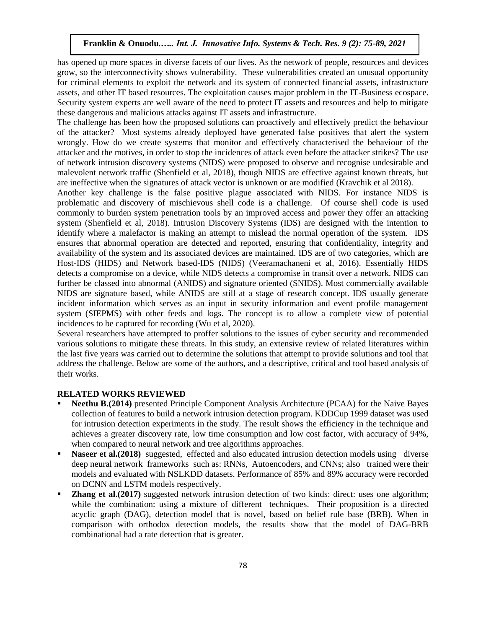has opened up more spaces in diverse facets of our lives. As the network of people, resources and devices grow, so the interconnectivity shows vulnerability. These vulnerabilities created an unusual opportunity for criminal elements to exploit the network and its system of connected financial assets, infrastructure assets, and other IT based resources. The exploitation causes major problem in the IT-Business ecospace. Security system experts are well aware of the need to protect IT assets and resources and help to mitigate these dangerous and malicious attacks against IT assets and infrastructure.

The challenge has been how the proposed solutions can proactively and effectively predict the behaviour of the attacker? Most systems already deployed have generated false positives that alert the system wrongly. How do we create systems that monitor and effectively characterised the behaviour of the attacker and the motives, in order to stop the incidences of attack even before the attacker strikes? The use of network intrusion discovery systems (NIDS) were proposed to observe and recognise undesirable and malevolent network traffic (Shenfield et al, 2018), though NIDS are effective against known threats, but are ineffective when the signatures of attack vector is unknown or are modified (Kravchik et al 2018).

Another key challenge is the false positive plague associated with NIDS. For instance NIDS is problematic and discovery of mischievous shell code is a challenge. Of course shell code is used commonly to burden system penetration tools by an improved access and power they offer an attacking system (Shenfield et al, 2018). Intrusion Discovery Systems (IDS) are designed with the intention to identify where a malefactor is making an attempt to mislead the normal operation of the system. IDS ensures that abnormal operation are detected and reported, ensuring that confidentiality, integrity and availability of the system and its associated devices are maintained. IDS are of two categories, which are Host-IDS (HIDS) and Network based-IDS (NIDS) (Veeramachaneni et al, 2016). Essentially HIDS detects a compromise on a device, while NIDS detects a compromise in transit over a network. NIDS can further be classed into abnormal (ANIDS) and signature oriented (SNIDS). Most commercially available NIDS are signature based, while ANIDS are still at a stage of research concept. IDS usually generate incident information which serves as an input in security information and event profile management system (SIEPMS) with other feeds and logs. The concept is to allow a complete view of potential incidences to be captured for recording (Wu et al, 2020).

Several researchers have attempted to proffer solutions to the issues of cyber security and recommended various solutions to mitigate these threats. In this study, an extensive review of related literatures within the last five years was carried out to determine the solutions that attempt to provide solutions and tool that address the challenge. Below are some of the authors, and a descriptive, critical and tool based analysis of their works.

# **RELATED WORKS REVIEWED**

- **Neethu B.(2014)** presented Principle Component Analysis Architecture (PCAA) for the Naive Bayes collection of features to build a network intrusion detection program. KDDCup 1999 dataset was used for intrusion detection experiments in the study. The result shows the efficiency in the technique and achieves a greater discovery rate, low time consumption and low cost factor, with accuracy of 94%, when compared to neural network and tree algorithms approaches.
- **Naseer et al.(2018)** suggested, effected and also educated intrusion detection models using diverse deep neural network frameworks such as: RNNs, Autoencoders, and CNNs; also trained were their models and evaluated with NSLKDD datasets. Performance of 85% and 89% accuracy were recorded on DCNN and LSTM models respectively.
- **Zhang et al.(2017)** suggested network intrusion detection of two kinds: direct: uses one algorithm; while the combination: using a mixture of different techniques. Their proposition is a directed acyclic graph (DAG), detection model that is novel, based on belief rule base (BRB). When in comparison with orthodox detection models, the results show that the model of DAG-BRB combinational had a rate detection that is greater.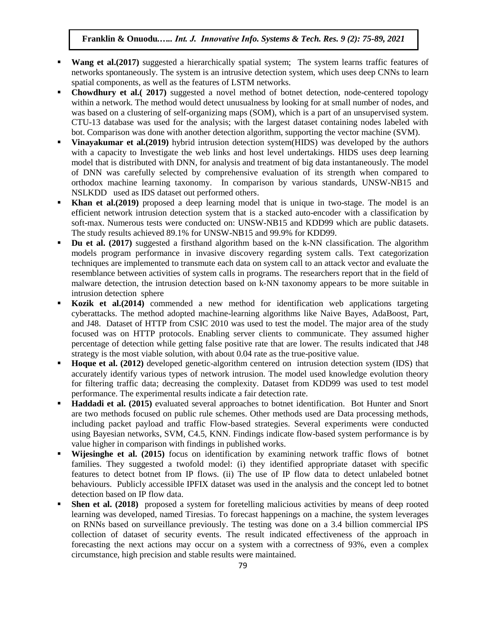- **Wang et al. (2017)** suggested a hierarchically spatial system; The system learns traffic features of networks spontaneously. The system is an intrusive detection system, which uses deep CNNs to learn spatial components, as well as the features of LSTM networks.
- **Chowdhury et al.( 2017)** suggested a novel method of botnet detection, node-centered topology within a network. The method would detect unusualness by looking for at small number of nodes, and was based on a clustering of self-organizing maps (SOM), which is a part of an unsupervised system. CTU-13 database was used for the analysis; with the largest dataset containing nodes labeled with bot. Comparison was done with another detection algorithm, supporting the vector machine (SVM).
- **Vinayakumar et al.(2019)** hybrid intrusion detection system(HIDS) was developed by the authors with a capacity to Investigate the web links and host level undertakings. HIDS uses deep learning model that is distributed with DNN, for analysis and treatment of big data instantaneously. The model of DNN was carefully selected by comprehensive evaluation of its strength when compared to orthodox machine learning taxonomy. In comparison by various standards, UNSW-NB15 and NSLKDD used as IDS dataset out performed others.
- **Khan et al. (2019)** proposed a deep learning model that is unique in two-stage. The model is an efficient network intrusion detection system that is a stacked auto-encoder with a classification by soft-max. Numerous tests were conducted on: UNSW-NB15 and KDD99 which are public datasets. The study results achieved 89.1% for UNSW-NB15 and 99.9% for KDD99.
- **Du et al. (2017)** suggested a firsthand algorithm based on the k-NN classification. The algorithm models program performance in invasive discovery regarding system calls. Text categorization techniques are implemented to transmute each data on system call to an attack vector and evaluate the resemblance between activities of system calls in programs. The researchers report that in the field of malware detection, the intrusion detection based on k-NN taxonomy appears to be more suitable in intrusion detection sphere
- **Kozik et al.(2014)** commended a new method for identification web applications targeting cyberattacks. The method adopted machine-learning algorithms like Naive Bayes, AdaBoost, Part, and J48. Dataset of HTTP from CSIC 2010 was used to test the model. The major area of the study focused was on HTTP protocols. Enabling server clients to communicate. They assumed higher percentage of detection while getting false positive rate that are lower. The results indicated that J48 strategy is the most viable solution, with about 0.04 rate as the true-positive value.
- **Hoque et al. (2012)** developed genetic-algorithm centered on intrusion detection system (IDS) that accurately identify various types of network intrusion. The model used knowledge evolution theory for filtering traffic data; decreasing the complexity. Dataset from KDD99 was used to test model performance. The experimental results indicate a fair detection rate.
- **Haddadi et al. (2015)** evaluated several approaches to botnet identification. Bot Hunter and Snort are two methods focused on public rule schemes. Other methods used are Data processing methods, including packet payload and traffic Flow-based strategies. Several experiments were conducted using Bayesian networks, SVM, C4.5, KNN. Findings indicate flow-based system performance is by value higher in comparison with findings in published works.
- **Wijesinghe et al. (2015)** focus on identification by examining network traffic flows of botnet families. They suggested a twofold model: (i) they identified appropriate dataset with specific features to detect botnet from IP flows. (ii) The use of IP flow data to detect unlabeled botnet behaviours. Publicly accessible IPFIX dataset was used in the analysis and the concept led to botnet detection based on IP flow data.
- **Shen et al. (2018)** proposed a system for foretelling malicious activities by means of deep rooted learning was developed, named Tiresias. To forecast happenings on a machine, the system leverages on RNNs based on surveillance previously. The testing was done on a 3.4 billion commercial IPS collection of dataset of security events. The result indicated effectiveness of the approach in forecasting the next actions may occur on a system with a correctness of 93%, even a complex circumstance, high precision and stable results were maintained.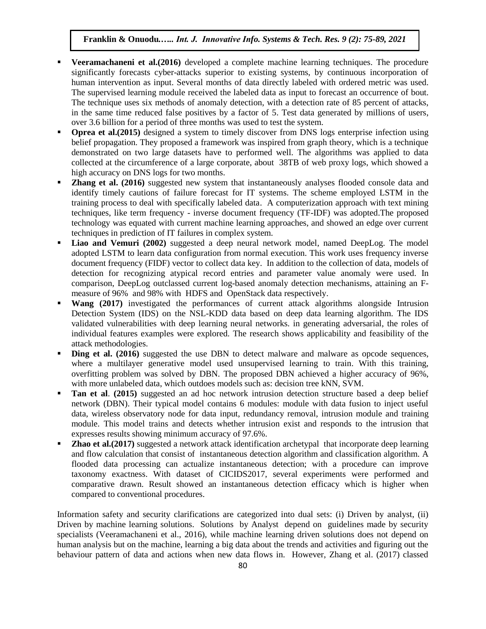- **Veeramachaneni et al.(2016)** developed a complete machine learning techniques. The procedure significantly forecasts cyber-attacks superior to existing systems, by continuous incorporation of human intervention as input. Several months of data directly labeled with ordered metric was used. The supervised learning module received the labeled data as input to forecast an occurrence of bout. The technique uses six methods of anomaly detection, with a detection rate of 85 percent of attacks, in the same time reduced false positives by a factor of 5. Test data generated by millions of users, over 3.6 billion for a period of three months was used to test the system.
- **Oprea et al. (2015)** designed a system to timely discover from DNS logs enterprise infection using belief propagation. They proposed a framework was inspired from graph theory, which is a technique demonstrated on two large datasets have to performed well. The algorithms was applied to data collected at the circumference of a large corporate, about 38TB of web proxy logs, which showed a high accuracy on DNS logs for two months.
- **Zhang et al. (2016)** suggested new system that instantaneously analyses flooded console data and identify timely cautions of failure forecast for IT systems. The scheme employed LSTM in the training process to deal with specifically labeled data. A computerization approach with text mining techniques, like term frequency - inverse document frequency (TF-IDF) was adopted.The proposed technology was equated with current machine learning approaches, and showed an edge over current techniques in prediction of IT failures in complex system.
- **Liao and Vemuri (2002)** suggested a deep neural network model, named DeepLog. The model adopted LSTM to learn data configuration from normal execution. This work uses frequency inverse document frequency (FIDF) vector to collect data key. In addition to the collection of data, models of detection for recognizing atypical record entries and parameter value anomaly were used. In comparison, DeepLog outclassed current log-based anomaly detection mechanisms, attaining an Fmeasure of 96% and 98% with HDFS and OpenStack data respectively.
- **Wang (2017)** investigated the performances of current attack algorithms alongside Intrusion Detection System (IDS) on the NSL-KDD data based on deep data learning algorithm. The IDS validated vulnerabilities with deep learning neural networks. in generating adversarial, the roles of individual features examples were explored. The research shows applicability and feasibility of the attack methodologies.
- **Ding et al.** (2016) suggested the use DBN to detect malware and malware as opcode sequences, where a multilayer generative model used unsupervised learning to train. With this training, overfitting problem was solved by DBN. The proposed DBN achieved a higher accuracy of 96%, with more unlabeled data, which outdoes models such as: decision tree kNN, SVM.
- **Tan et al**. **(2015)** suggested an ad hoc network intrusion detection structure based a deep belief network (DBN). Their typical model contains 6 modules: module with data fusion to inject useful data, wireless observatory node for data input, redundancy removal, intrusion module and training module. This model trains and detects whether intrusion exist and responds to the intrusion that expresses results showing minimum accuracy of 97.6%.
- **Zhao et al. (2017)** suggested a network attack identification archetypal that incorporate deep learning and flow calculation that consist of instantaneous detection algorithm and classification algorithm. A flooded data processing can actualize instantaneous detection; with a procedure can improve taxonomy exactness. With dataset of CICIDS2017, several experiments were performed and comparative drawn. Result showed an instantaneous detection efficacy which is higher when compared to conventional procedures.

Information safety and security clarifications are categorized into dual sets: (i) Driven by analyst, (ii) Driven by machine learning solutions. Solutions by Analyst depend on guidelines made by security specialists (Veeramachaneni et al., 2016), while machine learning driven solutions does not depend on human analysis but on the machine, learning a big data about the trends and activities and figuring out the behaviour pattern of data and actions when new data flows in. However, Zhang et al. (2017) classed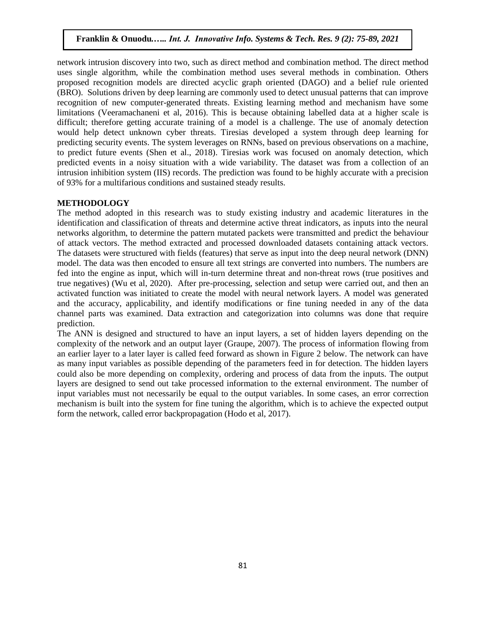network intrusion discovery into two, such as direct method and combination method. The direct method uses single algorithm, while the combination method uses several methods in combination. Others proposed recognition models are directed acyclic graph oriented (DAGO) and a belief rule oriented (BRO). Solutions driven by deep learning are commonly used to detect unusual patterns that can improve recognition of new computer-generated threats. Existing learning method and mechanism have some limitations (Veeramachaneni et al, 2016). This is because obtaining labelled data at a higher scale is difficult; therefore getting accurate training of a model is a challenge. The use of anomaly detection would help detect unknown cyber threats. Tiresias developed a system through deep learning for predicting security events. The system leverages on RNNs, based on previous observations on a machine, to predict future events (Shen et al., 2018). Tiresias work was focused on anomaly detection, which predicted events in a noisy situation with a wide variability. The dataset was from a collection of an intrusion inhibition system (IIS) records. The prediction was found to be highly accurate with a precision of 93% for a multifarious conditions and sustained steady results.

#### **METHODOLOGY**

The method adopted in this research was to study existing industry and academic literatures in the identification and classification of threats and determine active threat indicators, as inputs into the neural networks algorithm, to determine the pattern mutated packets were transmitted and predict the behaviour of attack vectors. The method extracted and processed downloaded datasets containing attack vectors. The datasets were structured with fields (features) that serve as input into the deep neural network (DNN) model. The data was then encoded to ensure all text strings are converted into numbers. The numbers are fed into the engine as input, which will in-turn determine threat and non-threat rows (true positives and true negatives) (Wu et al, 2020). After pre-processing, selection and setup were carried out, and then an activated function was initiated to create the model with neural network layers. A model was generated and the accuracy, applicability, and identify modifications or fine tuning needed in any of the data channel parts was examined. Data extraction and categorization into columns was done that require prediction.

The ANN is designed and structured to have an input layers, a set of hidden layers depending on the complexity of the network and an output layer (Graupe, 2007). The process of information flowing from an earlier layer to a later layer is called feed forward as shown in Figure 2 below. The network can have as many input variables as possible depending of the parameters feed in for detection. The hidden layers could also be more depending on complexity, ordering and process of data from the inputs. The output layers are designed to send out take processed information to the external environment. The number of input variables must not necessarily be equal to the output variables. In some cases, an error correction mechanism is built into the system for fine tuning the algorithm, which is to achieve the expected output form the network, called error backpropagation (Hodo et al, 2017).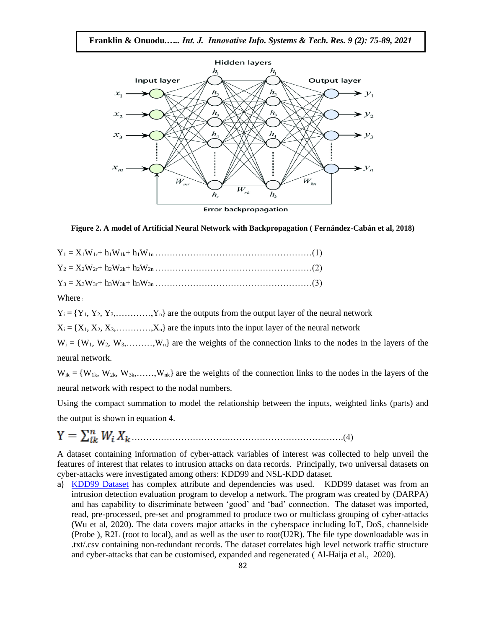

**Error backpropagation** 

#### **Figure 2. A model of Artificial Neural Network with Backpropagation ( Fernández-Cabán et al, 2018)**

Where .

 $Y_i = \{Y_1, Y_2, Y_3, \ldots, Y_n\}$  are the outputs from the output layer of the neural network

 $X_i = \{X_1, X_2, X_3, \ldots, X_n\}$  are the inputs into the input layer of the neural network

 $W_i = \{W_1, W_2, W_3, \ldots, W_n\}$  are the weights of the connection links to the nodes in the layers of the neural network.

 $W_{ik} = \{W_{1k}, W_{2k}, W_{3k}, \ldots, W_{nk}\}\$  are the weights of the connection links to the nodes in the layers of the neural network with respect to the nodal numbers.

Using the compact summation to model the relationship between the inputs, weighted links (parts) and the output is shown in equation 4.

……………………………………………………………….(4)

A dataset containing information of cyber-attack variables of interest was collected to help unveil the features of interest that relates to intrusion attacks on data records. Principally, two universal datasets on cyber-attacks were investigated among others: KDD99 and NSL-KDD dataset.

a) [KDD99 Dataset](http://kdd.ics.uci.edu/databases/kddcup99/kddcup99.html) has complex attribute and dependencies was used. KDD99 dataset was from an intrusion detection evaluation program to develop a network. The program was created by (DARPA) and has capability to discriminate between 'good' and 'bad' connection. The dataset was imported, read, pre-processed, pre-set and programmed to produce two or multiclass grouping of cyber-attacks (Wu et al, 2020). The data covers major attacks in the cyberspace including IoT, DoS, channelside (Probe ), R2L (root to local), and as well as the user to root(U2R). The file type downloadable was in .txt/.csv containing non-redundant records. The dataset correlates high level network traffic structure and cyber-attacks that can be customised, expanded and regenerated ( Al-Haija et al., 2020).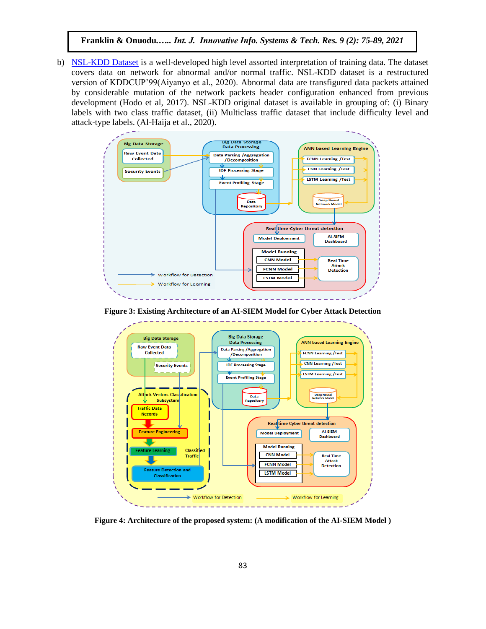b) [NSL-KDD Dataset](https://www.unb.ca/cic/datasets/nsl.html) is a well-developed high level assorted interpretation of training data. The dataset covers data on network for abnormal and/or normal traffic. NSL-KDD dataset is a restructured version of KDDCUP'99(Aiyanyo et al., 2020). Abnormal data are transfigured data packets attained by considerable mutation of the network packets header configuration enhanced from previous development (Hodo et al, 2017). NSL-KDD original dataset is available in grouping of: (i) Binary labels with two class traffic dataset, (ii) Multiclass traffic dataset that include difficulty level and attack-type labels. (Al-Haija et al., 2020).



**Figure 3: Existing Architecture of an AI-SIEM Model for Cyber Attack Detection**



**Figure 4: Architecture of the proposed system: (A modification of the AI-SIEM Model )**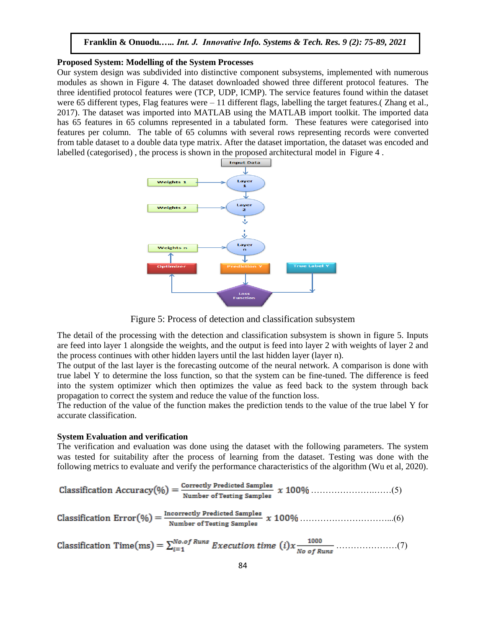### **Proposed System: Modelling of the System Processes**

Our system design was subdivided into distinctive component subsystems, implemented with numerous modules as shown in Figure 4. The dataset downloaded showed three different protocol features. The three identified protocol features were (TCP, UDP, ICMP). The service features found within the dataset were 65 different types, Flag features were – 11 different flags, labelling the target features.( Zhang et al., 2017). The dataset was imported into MATLAB using the MATLAB import toolkit. The imported data has 65 features in 65 columns represented in a tabulated form. These features were categorised into features per column. The table of 65 columns with several rows representing records were converted from table dataset to a double data type matrix. After the dataset importation, the dataset was encoded and labelled (categorised) , the process is shown in the proposed architectural model in Figure 4 .



Figure 5: Process of detection and classification subsystem

The detail of the processing with the detection and classification subsystem is shown in figure 5. Inputs are feed into layer 1 alongside the weights, and the output is feed into layer 2 with weights of layer 2 and the process continues with other hidden layers until the last hidden layer (layer n).

The output of the last layer is the forecasting outcome of the neural network. A comparison is done with true label Y to determine the loss function, so that the system can be fine-tuned. The difference is feed into the system optimizer which then optimizes the value as feed back to the system through back propagation to correct the system and reduce the value of the function loss.

The reduction of the value of the function makes the prediction tends to the value of the true label Y for accurate classification.

#### **System Evaluation and verification**

The verification and evaluation was done using the dataset with the following parameters. The system was tested for suitability after the process of learning from the dataset. Testing was done with the following metrics to evaluate and verify the performance characteristics of the algorithm (Wu et al, 2020).

Classification Accuracy(
$$
\%
$$
) =  $\frac{\text{Correctly Predicted Samples}}{\text{Number of Testing Samples}}$  x 100%  $\dots$ ........(5)

…………………………...(6)

Classification Time(ms) = 
$$
\sum_{i=1}^{No. of Runs} Execution time (i) x \frac{1000}{No of Runs}
$$
.................(7)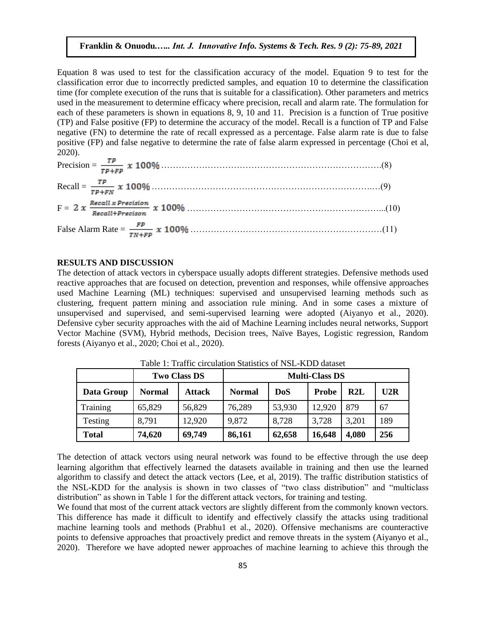Equation 8 was used to test for the classification accuracy of the model. Equation 9 to test for the classification error due to incorrectly predicted samples, and equation 10 to determine the classification time (for complete execution of the runs that is suitable for a classification). Other parameters and metrics used in the measurement to determine efficacy where precision, recall and alarm rate. The formulation for each of these parameters is shown in equations 8, 9, 10 and 11. Precision is a function of True positive (TP) and False positive (FP) to determine the accuracy of the model. Recall is a function of TP and False negative (FN) to determine the rate of recall expressed as a percentage. False alarm rate is due to false positive (FP) and false negative to determine the rate of false alarm expressed in percentage (Choi et al, 2020).

| $F = 2 x \frac{Recall x Precision}{Recall + Precision} x 100\%$ (10) |  |
|----------------------------------------------------------------------|--|
|                                                                      |  |

# **RESULTS AND DISCUSSION**

The detection of attack vectors in cyberspace usually adopts different strategies. Defensive methods used reactive approaches that are focused on detection, prevention and responses, while offensive approaches used Machine Learning (ML) techniques: supervised and unsupervised learning methods such as clustering, frequent pattern mining and association rule mining. And in some cases a mixture of unsupervised and supervised, and semi-supervised learning were adopted (Aiyanyo et al., 2020). Defensive cyber security approaches with the aid of Machine Learning includes neural networks, Support Vector Machine (SVM), Hybrid methods, Decision trees, Naïve Bayes, Logistic regression, Random forests (Aiyanyo et al., 2020; Choi et al., 2020).

|            | <b>Two Class DS</b> |               |               |            | <b>Multi-Class DS</b> |       |     |
|------------|---------------------|---------------|---------------|------------|-----------------------|-------|-----|
| Data Group | <b>Normal</b>       | <b>Attack</b> | <b>Normal</b> | <b>DoS</b> | <b>Probe</b>          | R2L   | U2R |
| Training   | 65,829              | 56,829        | 76,289        | 53,930     | 12,920                | 879   | 67  |
| Testing    | 8,791               | 12,920        | 9,872         | 8,728      | 3,728                 | 3,201 | 189 |
| Total      | 74,620              | 69,749        | 86,161        | 62,658     | 16,648                | 4,080 | 256 |

Table 1: Traffic circulation Statistics of NSL-KDD dataset

The detection of attack vectors using neural network was found to be effective through the use deep learning algorithm that effectively learned the datasets available in training and then use the learned algorithm to classify and detect the attack vectors (Lee, et al, 2019). The traffic distribution statistics of the NSL-KDD for the analysis is shown in two classes of "two class distribution" and "multiclass distribution" as shown in Table 1 for the different attack vectors, for training and testing.

We found that most of the current attack vectors are slightly different from the commonly known vectors. This difference has made it difficult to identify and effectively classify the attacks using traditional machine learning tools and methods (Prabhu1 et al., 2020). Offensive mechanisms are counteractive points to defensive approaches that proactively predict and remove threats in the system (Aiyanyo et al., 2020). Therefore we have adopted newer approaches of machine learning to achieve this through the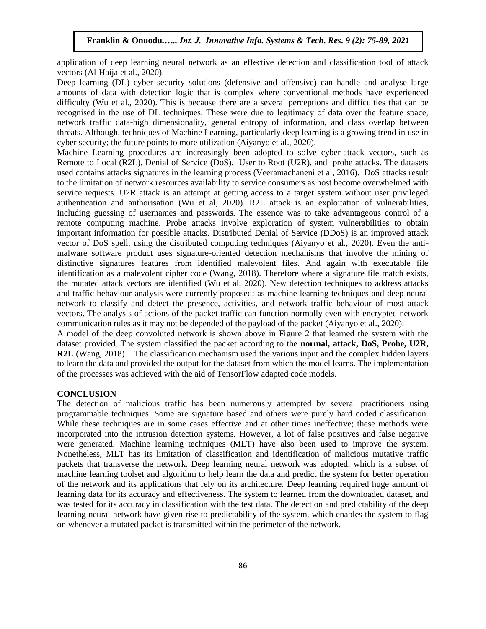application of deep learning neural network as an effective detection and classification tool of attack vectors (Al-Haija et al., 2020).

Deep learning (DL) cyber security solutions (defensive and offensive) can handle and analyse large amounts of data with detection logic that is complex where conventional methods have experienced difficulty (Wu et al., 2020). This is because there are a several perceptions and difficulties that can be recognised in the use of DL techniques. These were due to legitimacy of data over the feature space, network traffic data-high dimensionality, general entropy of information, and class overlap between threats. Although, techniques of Machine Learning, particularly deep learning is a growing trend in use in cyber security; the future points to more utilization (Aiyanyo et al., 2020).

Machine Learning procedures are increasingly been adopted to solve cyber-attack vectors, such as Remote to Local (R2L), Denial of Service (DoS), User to Root (U2R), and probe attacks. The datasets used contains attacks signatures in the learning process (Veeramachaneni et al, 2016). DoS attacks result to the limitation of network resources availability to service consumers as host become overwhelmed with service requests. U2R attack is an attempt at getting access to a target system without user privileged authentication and authorisation (Wu et al, 2020). R2L attack is an exploitation of vulnerabilities, including guessing of usernames and passwords. The essence was to take advantageous control of a remote computing machine. Probe attacks involve exploration of system vulnerabilities to obtain important information for possible attacks. Distributed Denial of Service (DDoS) is an improved attack vector of DoS spell, using the distributed computing techniques (Aiyanyo et al., 2020). Even the antimalware software product uses signature-oriented detection mechanisms that involve the mining of distinctive signatures features from identified malevolent files. And again with executable file identification as a malevolent cipher code (Wang, 2018). Therefore where a signature file match exists, the mutated attack vectors are identified (Wu et al, 2020). New detection techniques to address attacks and traffic behaviour analysis were currently proposed; as machine learning techniques and deep neural network to classify and detect the presence, activities, and network traffic behaviour of most attack vectors. The analysis of actions of the packet traffic can function normally even with encrypted network communication rules as it may not be depended of the payload of the packet (Aiyanyo et al., 2020).

A model of the deep convoluted network is shown above in Figure 2 that learned the system with the dataset provided. The system classified the packet according to the **normal, attack, DoS, Probe, U2R, R2L** (Wang, 2018). The classification mechanism used the various input and the complex hidden layers to learn the data and provided the output for the dataset from which the model learns. The implementation of the processes was achieved with the aid of TensorFlow adapted code models.

## **CONCLUSION**

The detection of malicious traffic has been numerously attempted by several practitioners using programmable techniques. Some are signature based and others were purely hard coded classification. While these techniques are in some cases effective and at other times ineffective; these methods were incorporated into the intrusion detection systems. However, a lot of false positives and false negative were generated. Machine learning techniques (MLT) have also been used to improve the system. Nonetheless, MLT has its limitation of classification and identification of malicious mutative traffic packets that transverse the network. Deep learning neural network was adopted, which is a subset of machine learning toolset and algorithm to help learn the data and predict the system for better operation of the network and its applications that rely on its architecture. Deep learning required huge amount of learning data for its accuracy and effectiveness. The system to learned from the downloaded dataset, and was tested for its accuracy in classification with the test data. The detection and predictability of the deep learning neural network have given rise to predictability of the system, which enables the system to flag on whenever a mutated packet is transmitted within the perimeter of the network.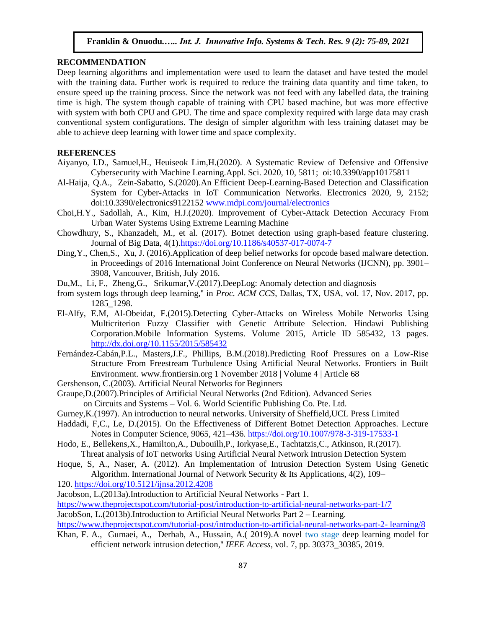# **RECOMMENDATION**

Deep learning algorithms and implementation were used to learn the dataset and have tested the model with the training data. Further work is required to reduce the training data quantity and time taken, to ensure speed up the training process. Since the network was not feed with any labelled data, the training time is high. The system though capable of training with CPU based machine, but was more effective with system with both CPU and GPU. The time and space complexity required with large data may crash conventional system configurations. The design of simpler algorithm with less training dataset may be able to achieve deep learning with lower time and space complexity.

## **REFERENCES**

- Aiyanyo, I.D., Samuel,H., Heuiseok Lim,H.(2020). A Systematic Review of Defensive and Offensive Cybersecurity with Machine Learning.Appl. Sci. 2020, 10, 5811; oi:10.3390/app10175811
- Al-Haija, Q.A., Zein-Sabatto, S.(2020).An Efficient Deep-Learning-Based Detection and Classification System for Cyber-Attacks in IoT Communication Networks. Electronics 2020, 9, 2152; doi:10.3390/electronics9122152 [www.mdpi.com/journal/electronics](http://www.mdpi.com/journal/electronics)
- Choi,H.Y., Sadollah, A., Kim, H.J.(2020). Improvement of Cyber-Attack Detection Accuracy From Urban Water Systems Using Extreme Learning Machine
- Chowdhury, S., Khanzadeh, M., et al. (2017). Botnet detection using graph-based feature clustering. Journal of Big Data, 4(1).https://doi.org/10.1186/s40537-017-0074-7
- Ding,Y., Chen,S., Xu, J. (2016).Application of deep belief networks for opcode based malware detection. in Proceedings of 2016 International Joint Conference on Neural Networks (IJCNN), pp. 3901– 3908, Vancouver, British, July 2016.
- Du,M., Li, F., Zheng,G., Srikumar,V.(2017).DeepLog: Anomaly detection and diagnosis
- from system logs through deep learning,'' in *Proc. ACM CCS*, Dallas, TX, USA, vol. 17, Nov. 2017, pp. 1285\_1298.
- El-Alfy, E.M, Al-Obeidat, F.(2015).Detecting Cyber-Attacks on Wireless Mobile Networks Using Multicriterion Fuzzy Classifier with Genetic Attribute Selection. Hindawi Publishing Corporation.Mobile Information Systems. Volume 2015, Article ID 585432, 13 pages. <http://dx.doi.org/10.1155/2015/585432>
- Fernández-Cabán,P.L., Masters,J.F., Phillips, B.M.(2018).Predicting Roof Pressures on a Low-Rise Structure From Freestream Turbulence Using Artificial Neural Networks. Frontiers in Built Environment. www.frontiersin.org 1 November 2018 | Volume 4 | Article 68
- Gershenson, C.(2003). Artificial Neural Networks for Beginners
- Graupe,D.(2007).Principles of Artificial Neural Networks (2nd Edition). Advanced Series on Circuits and Systems – Vol. 6. World Scientific Publishing Co. Pte. Ltd.
- Gurney,K.(1997). An introduction to neural networks. University of Sheffield,UCL Press Limited
- Haddadi, F,C., Le, D.(2015). On the Effectiveness of Different Botnet Detection Approaches. Lecture Notes in Computer Science, 9065, 421–436.<https://doi.org/10.1007/978-3-319-17533-1>
- Hodo, E., Bellekens,X., Hamilton,A., Dubouilh,P., Iorkyase,E., Tachtatzis,C., Atkinson, R.(2017). Threat analysis of IoT networks Using Artificial Neural Network Intrusion Detection System
- Hoque, S, A., Naser, A. (2012). An Implementation of Intrusion Detection System Using Genetic Algorithm. International Journal of Network Security & Its Applications,  $4(2)$ ,  $109-$
- 120.<https://doi.org/10.5121/ijnsa.2012.4208>
- Jacobson, L.(2013a).Introduction to Artificial Neural Networks Part 1.
- <https://www.theprojectspot.com/tutorial-post/introduction-to-artificial-neural-networks-part-1/7>
- JacobSon, L.(2013b).Introduction to Artificial Neural Networks Part 2 Learning.
- [https://www.theprojectspot.com/tutorial-post/introduction-to-artificial-neural-networks-part-2-](https://www.theprojectspot.com/tutorial-post/introduction-to-artificial-neural-networks-part-2-%20learning/8) learning/8
- Khan, F. A., Gumaei, A., Derhab, A., Hussain, A.( 2019).A novel two stage deep learning model for efficient network intrusion detection,'' *IEEE Access*, vol. 7, pp. 30373\_30385, 2019.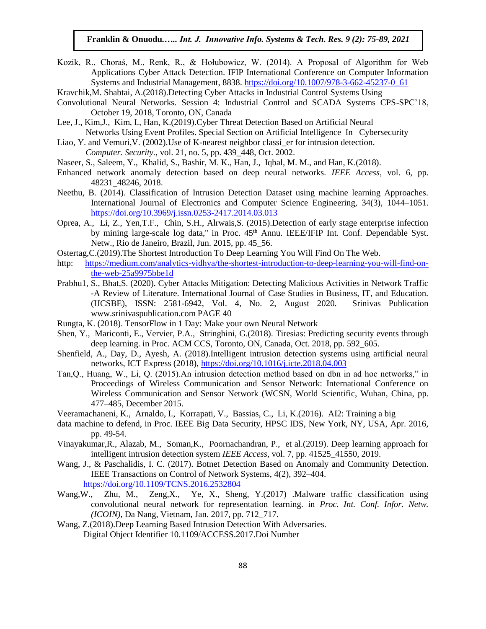Kozik, R., Choraś, M., Renk, R., & Hołubowicz, W. (2014). A Proposal of Algorithm for Web Applications Cyber Attack Detection. IFIP International Conference on Computer Information Systems and Industrial Management, 8838. [https://doi.org/10.1007/978-3-662-45237-0\\_61](https://doi.org/10.1007/978-3-662-45237-0_61)

Kravchik,M. Shabtai, A.(2018).Detecting Cyber Attacks in Industrial Control Systems Using

- Convolutional Neural Networks. Session 4: Industrial Control and SCADA Systems CPS-SPC'18, October 19, 2018, Toronto, ON, Canada
- Lee, J., Kim,J., Kim, I., Han, K.(2019).Cyber Threat Detection Based on Artificial Neural Networks Using Event Profiles. Special Section on Artificial Intelligence In Cybersecurity
- Liao, Y. and Vemuri, V. (2002). Use of K-nearest neighbor classi er for intrusion detection. *Computer. Security.*, vol. 21, no. 5, pp. 439\_448, Oct. 2002.
- Naseer, S., Saleem, Y., Khalid, S., Bashir, M. K., Han, J., Iqbal, M. M., and Han, K.(2018).
- Enhanced network anomaly detection based on deep neural networks. *IEEE Access*, vol. 6, pp. 48231\_48246, 2018.
- Neethu, B. (2014). Classification of Intrusion Detection Dataset using machine learning Approaches. International Journal of Electronics and Computer Science Engineering, 34(3), 1044–1051. <https://doi.org/10.3969/j.issn.0253-2417.2014.03.013>
- Oprea, A., Li, Z., Yen,T.F., Chin, S.H., Alrwais,S. (2015).Detection of early stage enterprise infection by mining large-scale log data," in Proc. 45<sup>th</sup> Annu. IEEE/IFIP Int. Conf. Dependable Syst. Netw., Rio de Janeiro, Brazil, Jun. 2015, pp. 45\_56.
- Ostertag,C.(2019).The Shortest Introduction To Deep Learning You Will Find On The Web.
- http: [https://medium.com/analytics-vidhya/the-shortest-introduction-to-deep-learning-you-will-find-on](https://medium.com/analytics-vidhya/the-shortest-introduction-to-deep-learning-you-will-find-on-the-web-25a9975bbe1d)[the-web-25a9975bbe1d](https://medium.com/analytics-vidhya/the-shortest-introduction-to-deep-learning-you-will-find-on-the-web-25a9975bbe1d)
- Prabhu1, S., Bhat,S. (2020). Cyber Attacks Mitigation: Detecting Malicious Activities in Network Traffic -A Review of Literature. International Journal of Case Studies in Business, IT, and Education. (IJCSBE), ISSN: 2581-6942, Vol. 4, No. 2, August 2020. Srinivas Publication www.srinivaspublication.com PAGE 40
- Rungta, K. (2018). TensorFlow in 1 Day: Make your own Neural Network
- Shen, Y., Mariconti, E., Vervier, P.A., Stringhini, G.(2018). Tiresias: Predicting security events through deep learning. in Proc. ACM CCS, Toronto, ON, Canada, Oct. 2018, pp. 592\_605.
- Shenfield, A., Day, D., Ayesh, A. (2018).Intelligent intrusion detection systems using artificial neural networks, ICT Express (2018),<https://doi.org/10.1016/j.icte.2018.04.003>
- Tan,Q., Huang, W., Li, Q. (2015).An intrusion detection method based on dbn in ad hoc networks," in Proceedings of Wireless Communication and Sensor Network: International Conference on Wireless Communication and Sensor Network (WCSN, World Scientific, Wuhan, China, pp. 477–485, December 2015.
- Veeramachaneni, K., Arnaldo, I., Korrapati, V., Bassias, C., Li, K.(2016). AI2: Training a big
- data machine to defend, in Proc. IEEE Big Data Security, HPSC IDS, New York, NY, USA, Apr. 2016, pp. 49-54.
- Vinayakumar,R., Alazab, M., Soman,K., Poornachandran, P., et al.(2019). Deep learning approach for intelligent intrusion detection system *IEEE Access*, vol. 7, pp. 41525\_41550, 2019.
- Wang, J., & Paschalidis, I. C. (2017). Botnet Detection Based on Anomaly and Community Detection. IEEE Transactions on Control of Network Systems, 4(2), 392–404. https://doi.org/10.1109/TCNS.2016.2532804
- Wang,W., Zhu, M., Zeng,X., Ye, X., Sheng, Y.(2017) .Malware traffic classification using convolutional neural network for representation learning. in *Proc. Int. Conf. Infor. Netw. (ICOIN)*, Da Nang, Vietnam, Jan. 2017, pp. 712\_717.
- Wang, Z.(2018).Deep Learning Based Intrusion Detection With Adversaries. Digital Object Identifier 10.1109/ACCESS.2017.Doi Number